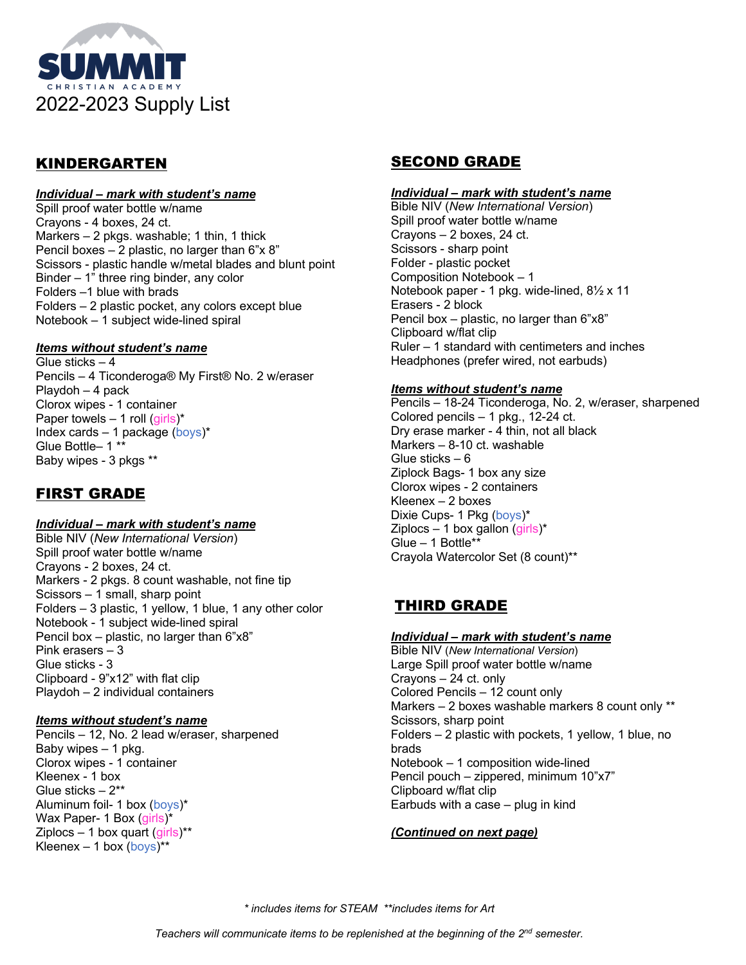

# KINDERGARTEN

### *Individual – mark with student's name*

Spill proof water bottle w/name Crayons - 4 boxes, 24 ct. Markers – 2 pkgs. washable; 1 thin, 1 thick Pencil boxes  $-2$  plastic, no larger than  $6"x 8"$ Scissors - plastic handle w/metal blades and blunt point Binder – 1" three ring binder, any color Folders –1 blue with brads Folders – 2 plastic pocket, any colors except blue Notebook – 1 subject wide-lined spiral

### *Items without student's name*

Glue sticks  $-4$ Pencils – 4 Ticonderoga® My First® No. 2 w/eraser Playdoh – 4 pack Clorox wipes - 1 container Paper towels  $-1$  roll (girls)\* Index cards  $-1$  package (boys)\* Glue Bottle– 1 \*\* Baby wipes - 3 pkgs \*\*

# FIRST GRADE

### *Individual – mark with student's name*

Bible NIV (*New International Version*) Spill proof water bottle w/name Crayons - 2 boxes, 24 ct. Markers - 2 pkgs. 8 count washable, not fine tip Scissors – 1 small, sharp point Folders – 3 plastic, 1 yellow, 1 blue, 1 any other color Notebook - 1 subject wide-lined spiral Pencil box – plastic, no larger than 6"x8" Pink erasers – 3 Glue sticks - 3 Clipboard - 9"x12" with flat clip Playdoh – 2 individual containers

### *Items without student's name*

Pencils – 12, No. 2 lead w/eraser, sharpened Baby wipes – 1 pkg. Clorox wipes - 1 container Kleenex - 1 box Glue sticks – 2\*\* Aluminum foil- 1 box (boys)\* Wax Paper- 1 Box (girls)\*  $Ziplocs - 1 box quart (girls)*$ Kleenex  $-1$  box (boys)\*\*

### SECOND GRADE

#### *Individual – mark with student's name*

Bible NIV (*New International Version*) Spill proof water bottle w/name Crayons – 2 boxes, 24 ct. Scissors - sharp point Folder - plastic pocket Composition Notebook – 1 Notebook paper - 1 pkg. wide-lined, 8½ x 11 Erasers - 2 block Pencil box – plastic, no larger than 6"x8" Clipboard w/flat clip Ruler – 1 standard with centimeters and inches Headphones (prefer wired, not earbuds)

### *Items without student's name*

Pencils – 18-24 Ticonderoga, No. 2, w/eraser, sharpened Colored pencils – 1 pkg., 12-24 ct. Dry erase marker - 4 thin, not all black Markers – 8-10 ct. washable Glue sticks – 6 Ziplock Bags- 1 box any size Clorox wipes - 2 containers Kleenex – 2 boxes Dixie Cups- 1 Pkg (boys)\*  $Ziplocs - 1$  box gallon (girls)\* Glue – 1 Bottle\*\* Crayola Watercolor Set (8 count)\*\*

# THIRD GRADE

### *Individual – mark with student's name*

Bible NIV (*New International Version*) Large Spill proof water bottle w/name Crayons – 24 ct. only Colored Pencils – 12 count only Markers – 2 boxes washable markers 8 count only \*\* Scissors, sharp point Folders – 2 plastic with pockets, 1 yellow, 1 blue, no brads Notebook – 1 composition wide-lined Pencil pouch – zippered, minimum 10"x7" Clipboard w/flat clip Earbuds with a case – plug in kind

### *(Continued on next page)*

*\* includes items for STEAM \*\*includes items for Art*